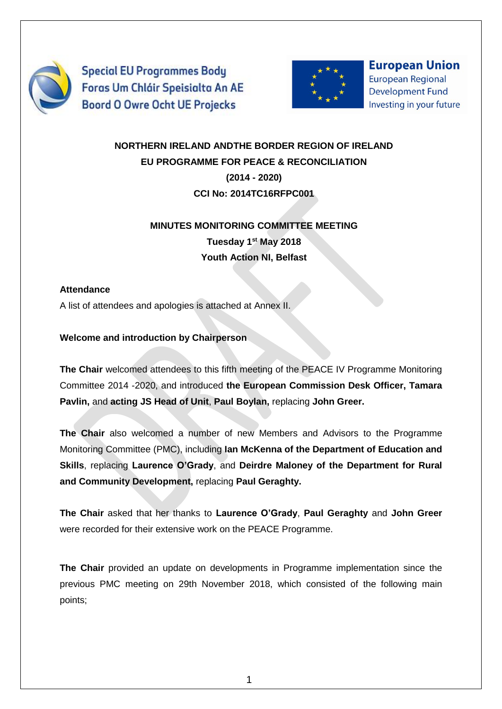

**Special EU Programmes Body** Foras Um Chláir Speisialta An AE **Boord O Owre Ocht UE Projecks** 



**European Union European Regional Development Fund** Investing in your future

# **NORTHERN IRELAND ANDTHE BORDER REGION OF IRELAND EU PROGRAMME FOR PEACE & RECONCILIATION (2014 - 2020) CCI No: 2014TC16RFPC001**

# **MINUTES MONITORING COMMITTEE MEETING Tuesday 1st May 2018**

**Youth Action NI, Belfast**

## **Attendance**

A list of attendees and apologies is attached at Annex II.

## **Welcome and introduction by Chairperson**

**The Chair** welcomed attendees to this fifth meeting of the PEACE IV Programme Monitoring Committee 2014 -2020, and introduced **the European Commission Desk Officer, Tamara Pavlin,** and **acting JS Head of Unit**, **Paul Boylan,** replacing **John Greer.**

**The Chair** also welcomed a number of new Members and Advisors to the Programme Monitoring Committee (PMC), including **Ian McKenna of the Department of Education and Skills**, replacing **Laurence O'Grady**, and **Deirdre Maloney of the Department for Rural and Community Development,** replacing **Paul Geraghty.**

**The Chair** asked that her thanks to **Laurence O'Grady**, **Paul Geraghty** and **John Greer** were recorded for their extensive work on the PEACE Programme.

**The Chair** provided an update on developments in Programme implementation since the previous PMC meeting on 29th November 2018, which consisted of the following main points;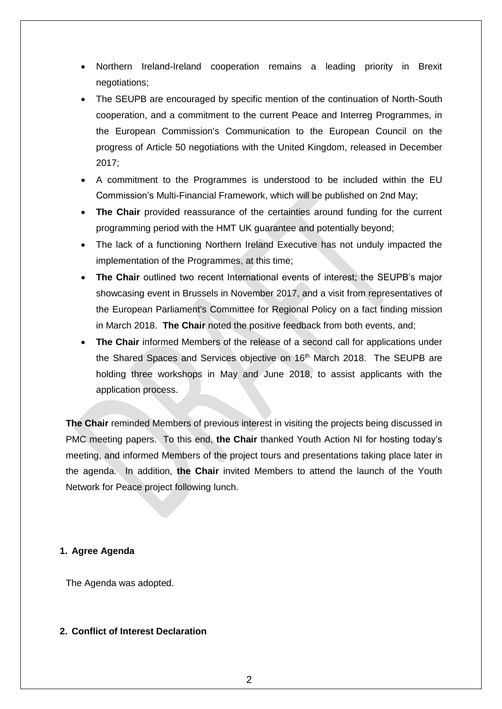- Northern Ireland-Ireland cooperation remains a leading priority in Brexit negotiations;
- The SEUPB are encouraged by specific mention of the continuation of North-South cooperation, and a commitment to the current Peace and Interreg Programmes, in the European Commission's Communication to the European Council on the progress of Article 50 negotiations with the United Kingdom, released in December 2017;
- A commitment to the Programmes is understood to be included within the EU Commission's Multi-Financial Framework, which will be published on 2nd May;
- The Chair provided reassurance of the certainties around funding for the current programming period with the HMT UK guarantee and potentially beyond;
- The lack of a functioning Northern Ireland Executive has not unduly impacted the implementation of the Programmes, at this time;
- **The Chair** outlined two recent International events of interest; the SEUPB's major showcasing event in Brussels in November 2017, and a visit from representatives of the European Parliament's Committee for Regional Policy on a fact finding mission in March 2018. **The Chair** noted the positive feedback from both events, and;
- **The Chair** informed Members of the release of a second call for applications under the Shared Spaces and Services objective on 16<sup>th</sup> March 2018. The SEUPB are holding three workshops in May and June 2018, to assist applicants with the application process.

**The Chair** reminded Members of previous interest in visiting the projects being discussed in PMC meeting papers. To this end, **the Chair** thanked Youth Action NI for hosting today's meeting, and informed Members of the project tours and presentations taking place later in the agenda. In addition, **the Chair** invited Members to attend the launch of the Youth Network for Peace project following lunch.

#### **1. Agree Agenda**

The Agenda was adopted.

#### **2. Conflict of Interest Declaration**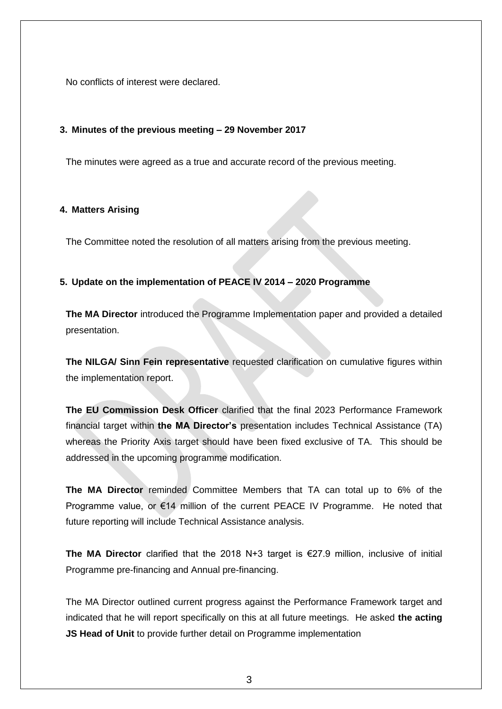No conflicts of interest were declared.

#### **3. Minutes of the previous meeting – 29 November 2017**

The minutes were agreed as a true and accurate record of the previous meeting.

#### **4. Matters Arising**

The Committee noted the resolution of all matters arising from the previous meeting.

#### **5. Update on the implementation of PEACE IV 2014 – 2020 Programme**

**The MA Director** introduced the Programme Implementation paper and provided a detailed presentation.

**The NILGA/ Sinn Fein representative** requested clarification on cumulative figures within the implementation report.

**The EU Commission Desk Officer** clarified that the final 2023 Performance Framework financial target within **the MA Director's** presentation includes Technical Assistance (TA) whereas the Priority Axis target should have been fixed exclusive of TA. This should be addressed in the upcoming programme modification.

**The MA Director** reminded Committee Members that TA can total up to 6% of the Programme value, or €14 million of the current PEACE IV Programme. He noted that future reporting will include Technical Assistance analysis.

**The MA Director** clarified that the 2018 N+3 target is €27.9 million, inclusive of initial Programme pre-financing and Annual pre-financing.

The MA Director outlined current progress against the Performance Framework target and indicated that he will report specifically on this at all future meetings. He asked **the acting JS Head of Unit** to provide further detail on Programme implementation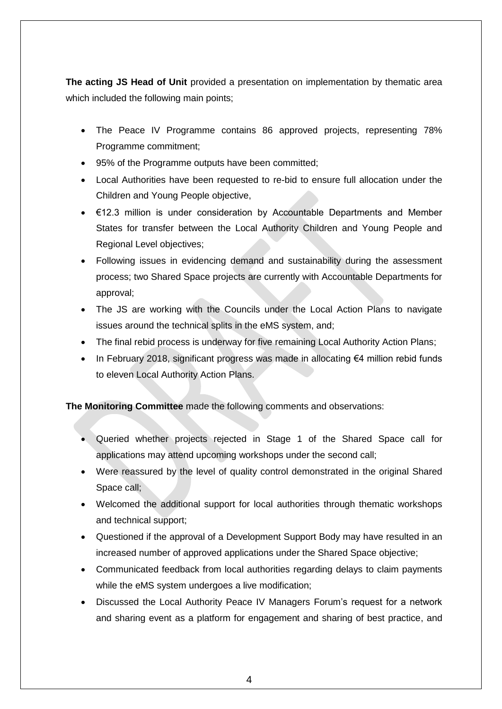**The acting JS Head of Unit** provided a presentation on implementation by thematic area which included the following main points;

- The Peace IV Programme contains 86 approved projects, representing 78% Programme commitment;
- 95% of the Programme outputs have been committed;
- Local Authorities have been requested to re-bid to ensure full allocation under the Children and Young People objective,
- €12.3 million is under consideration by Accountable Departments and Member States for transfer between the Local Authority Children and Young People and Regional Level objectives;
- Following issues in evidencing demand and sustainability during the assessment process; two Shared Space projects are currently with Accountable Departments for approval;
- The JS are working with the Councils under the Local Action Plans to navigate issues around the technical splits in the eMS system, and;
- The final rebid process is underway for five remaining Local Authority Action Plans;
- In February 2018, significant progress was made in allocating €4 million rebid funds to eleven Local Authority Action Plans.

**The Monitoring Committee** made the following comments and observations:

- Queried whether projects rejected in Stage 1 of the Shared Space call for applications may attend upcoming workshops under the second call;
- Were reassured by the level of quality control demonstrated in the original Shared Space call;
- Welcomed the additional support for local authorities through thematic workshops and technical support;
- Questioned if the approval of a Development Support Body may have resulted in an increased number of approved applications under the Shared Space objective;
- Communicated feedback from local authorities regarding delays to claim payments while the eMS system undergoes a live modification;
- Discussed the Local Authority Peace IV Managers Forum's request for a network and sharing event as a platform for engagement and sharing of best practice, and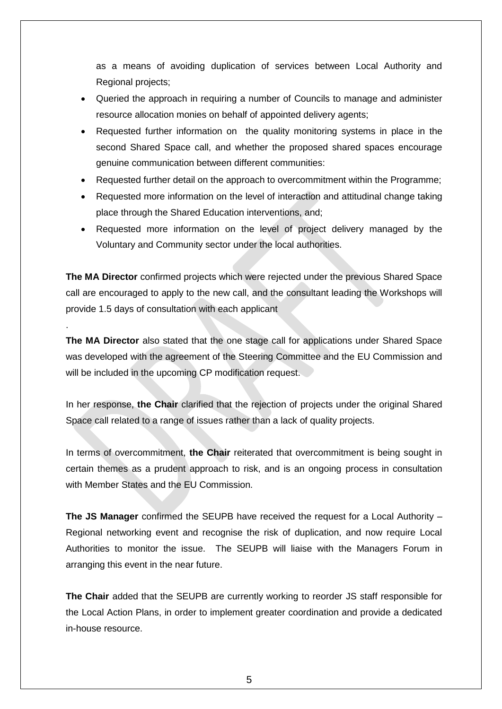as a means of avoiding duplication of services between Local Authority and Regional projects;

- Queried the approach in requiring a number of Councils to manage and administer resource allocation monies on behalf of appointed delivery agents;
- Requested further information on the quality monitoring systems in place in the second Shared Space call, and whether the proposed shared spaces encourage genuine communication between different communities:
- Requested further detail on the approach to overcommitment within the Programme;
- Requested more information on the level of interaction and attitudinal change taking place through the Shared Education interventions, and;
- Requested more information on the level of project delivery managed by the Voluntary and Community sector under the local authorities.

**The MA Director** confirmed projects which were rejected under the previous Shared Space call are encouraged to apply to the new call, and the consultant leading the Workshops will provide 1.5 days of consultation with each applicant

.

**The MA Director** also stated that the one stage call for applications under Shared Space was developed with the agreement of the Steering Committee and the EU Commission and will be included in the upcoming CP modification request.

In her response, **the Chair** clarified that the rejection of projects under the original Shared Space call related to a range of issues rather than a lack of quality projects.

In terms of overcommitment, the Chair reiterated that overcommitment is being sought in certain themes as a prudent approach to risk, and is an ongoing process in consultation with Member States and the EU Commission.

**The JS Manager** confirmed the SEUPB have received the request for a Local Authority – Regional networking event and recognise the risk of duplication, and now require Local Authorities to monitor the issue. The SEUPB will liaise with the Managers Forum in arranging this event in the near future.

**The Chair** added that the SEUPB are currently working to reorder JS staff responsible for the Local Action Plans, in order to implement greater coordination and provide a dedicated in-house resource.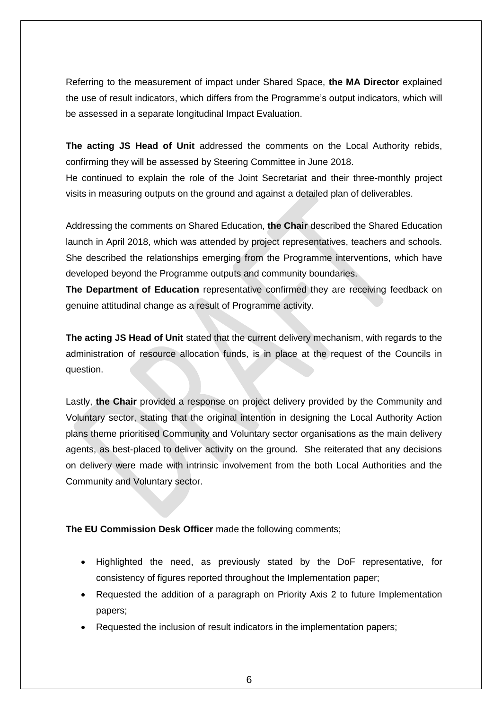Referring to the measurement of impact under Shared Space, **the MA Director** explained the use of result indicators, which differs from the Programme's output indicators, which will be assessed in a separate longitudinal Impact Evaluation.

**The acting JS Head of Unit** addressed the comments on the Local Authority rebids, confirming they will be assessed by Steering Committee in June 2018. He continued to explain the role of the Joint Secretariat and their three-monthly project

visits in measuring outputs on the ground and against a detailed plan of deliverables.

Addressing the comments on Shared Education, **the Chair** described the Shared Education launch in April 2018, which was attended by project representatives, teachers and schools. She described the relationships emerging from the Programme interventions, which have developed beyond the Programme outputs and community boundaries.

**The Department of Education** representative confirmed they are receiving feedback on genuine attitudinal change as a result of Programme activity.

**The acting JS Head of Unit** stated that the current delivery mechanism, with regards to the administration of resource allocation funds, is in place at the request of the Councils in question.

Lastly, **the Chair** provided a response on project delivery provided by the Community and Voluntary sector, stating that the original intention in designing the Local Authority Action plans theme prioritised Community and Voluntary sector organisations as the main delivery agents, as best-placed to deliver activity on the ground. She reiterated that any decisions on delivery were made with intrinsic involvement from the both Local Authorities and the Community and Voluntary sector.

#### **The EU Commission Desk Officer** made the following comments;

- Highlighted the need, as previously stated by the DoF representative, for consistency of figures reported throughout the Implementation paper;
- Requested the addition of a paragraph on Priority Axis 2 to future Implementation papers;
- Requested the inclusion of result indicators in the implementation papers;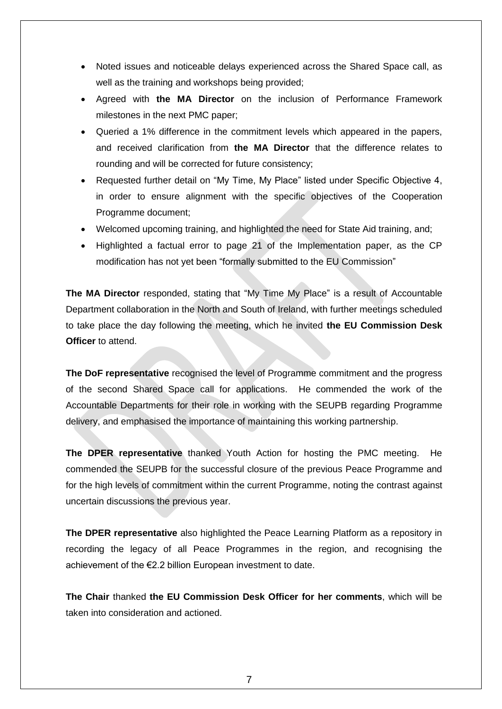- Noted issues and noticeable delays experienced across the Shared Space call, as well as the training and workshops being provided;
- Agreed with **the MA Director** on the inclusion of Performance Framework milestones in the next PMC paper;
- Queried a 1% difference in the commitment levels which appeared in the papers, and received clarification from **the MA Director** that the difference relates to rounding and will be corrected for future consistency;
- Requested further detail on "My Time, My Place" listed under Specific Objective 4, in order to ensure alignment with the specific objectives of the Cooperation Programme document;
- Welcomed upcoming training, and highlighted the need for State Aid training, and;
- Highlighted a factual error to page 21 of the Implementation paper, as the CP modification has not yet been "formally submitted to the EU Commission"

**The MA Director** responded, stating that "My Time My Place" is a result of Accountable Department collaboration in the North and South of Ireland, with further meetings scheduled to take place the day following the meeting, which he invited **the EU Commission Desk Officer** to attend.

**The DoF representative** recognised the level of Programme commitment and the progress of the second Shared Space call for applications. He commended the work of the Accountable Departments for their role in working with the SEUPB regarding Programme delivery, and emphasised the importance of maintaining this working partnership.

**The DPER representative** thanked Youth Action for hosting the PMC meeting. He commended the SEUPB for the successful closure of the previous Peace Programme and for the high levels of commitment within the current Programme, noting the contrast against uncertain discussions the previous year.

**The DPER representative** also highlighted the Peace Learning Platform as a repository in recording the legacy of all Peace Programmes in the region, and recognising the achievement of the €2.2 billion European investment to date.

**The Chair** thanked **the EU Commission Desk Officer for her comments**, which will be taken into consideration and actioned.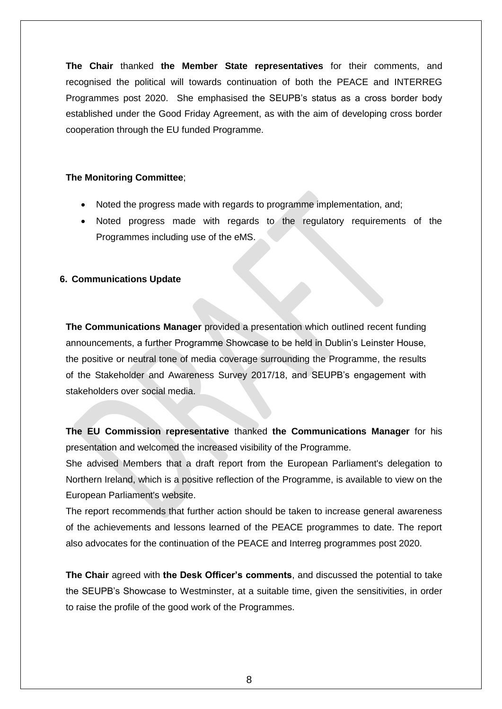**The Chair** thanked **the Member State representatives** for their comments, and recognised the political will towards continuation of both the PEACE and INTERREG Programmes post 2020. She emphasised the SEUPB's status as a cross border body established under the Good Friday Agreement, as with the aim of developing cross border cooperation through the EU funded Programme.

#### **The Monitoring Committee**;

- Noted the progress made with regards to programme implementation, and;
- Noted progress made with regards to the regulatory requirements of the Programmes including use of the eMS.

#### **6. Communications Update**

**The Communications Manager** provided a presentation which outlined recent funding announcements, a further Programme Showcase to be held in Dublin's Leinster House, the positive or neutral tone of media coverage surrounding the Programme, the results of the Stakeholder and Awareness Survey 2017/18, and SEUPB's engagement with stakeholders over social media.

**The EU Commission representative** thanked **the Communications Manager** for his presentation and welcomed the increased visibility of the Programme.

She advised Members that a draft report from the European Parliament's delegation to Northern Ireland, which is a positive reflection of the Programme, is available to view on the European Parliament's website.

The report recommends that further action should be taken to increase general awareness of the achievements and lessons learned of the PEACE programmes to date. The report also advocates for the continuation of the PEACE and Interreg programmes post 2020.

**The Chair** agreed with **the Desk Officer's comments**, and discussed the potential to take the SEUPB's Showcase to Westminster, at a suitable time, given the sensitivities, in order to raise the profile of the good work of the Programmes.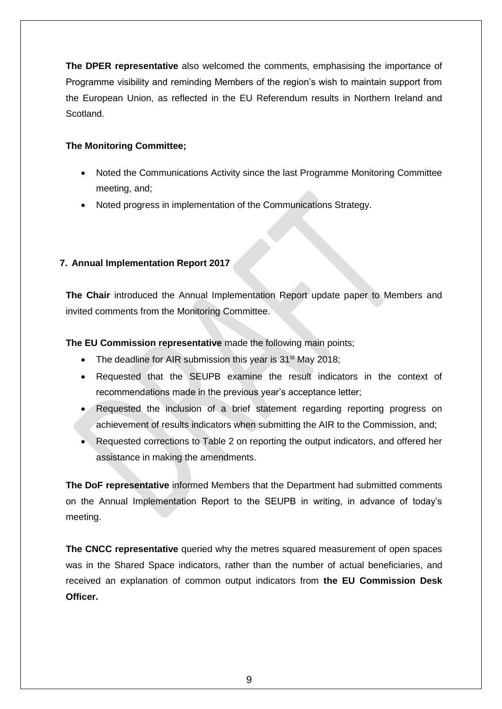**The DPER representative** also welcomed the comments, emphasising the importance of Programme visibility and reminding Members of the region's wish to maintain support from the European Union, as reflected in the EU Referendum results in Northern Ireland and Scotland.

## **The Monitoring Committee;**

- Noted the Communications Activity since the last Programme Monitoring Committee meeting, and;
- Noted progress in implementation of the Communications Strategy.

## **7. Annual Implementation Report 2017**

**The Chair** introduced the Annual Implementation Report update paper to Members and invited comments from the Monitoring Committee.

**The EU Commission representative** made the following main points;

- The deadline for AIR submission this year is  $31<sup>st</sup>$  May 2018;
- Requested that the SEUPB examine the result indicators in the context of recommendations made in the previous year's acceptance letter;
- Requested the inclusion of a brief statement regarding reporting progress on achievement of results indicators when submitting the AIR to the Commission, and;
- Requested corrections to Table 2 on reporting the output indicators, and offered her assistance in making the amendments.

**The DoF representative** informed Members that the Department had submitted comments on the Annual Implementation Report to the SEUPB in writing, in advance of today's meeting.

**The CNCC representative** queried why the metres squared measurement of open spaces was in the Shared Space indicators, rather than the number of actual beneficiaries, and received an explanation of common output indicators from **the EU Commission Desk Officer.**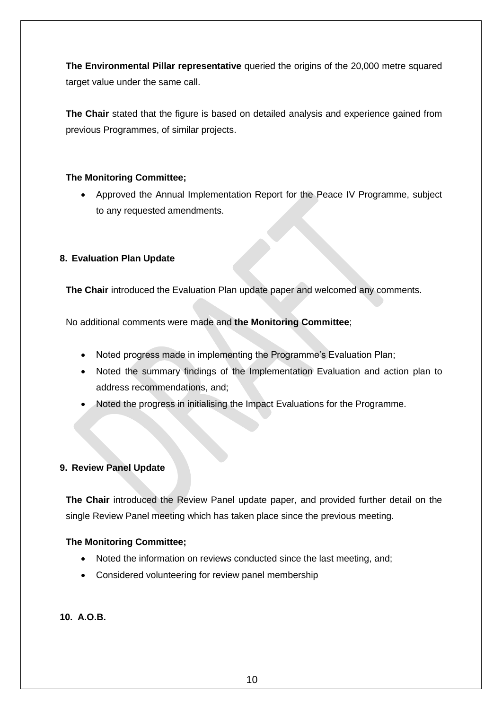**The Environmental Pillar representative** queried the origins of the 20,000 metre squared target value under the same call.

**The Chair** stated that the figure is based on detailed analysis and experience gained from previous Programmes, of similar projects.

#### **The Monitoring Committee;**

 Approved the Annual Implementation Report for the Peace IV Programme, subject to any requested amendments.

#### **8. Evaluation Plan Update**

**The Chair** introduced the Evaluation Plan update paper and welcomed any comments.

No additional comments were made and **the Monitoring Committee**;

- Noted progress made in implementing the Programme's Evaluation Plan;
- Noted the summary findings of the Implementation Evaluation and action plan to address recommendations, and;
- Noted the progress in initialising the Impact Evaluations for the Programme.

#### **9. Review Panel Update**

**The Chair** introduced the Review Panel update paper, and provided further detail on the single Review Panel meeting which has taken place since the previous meeting.

#### **The Monitoring Committee;**

- Noted the information on reviews conducted since the last meeting, and;
- Considered volunteering for review panel membership

**10. A.O.B.**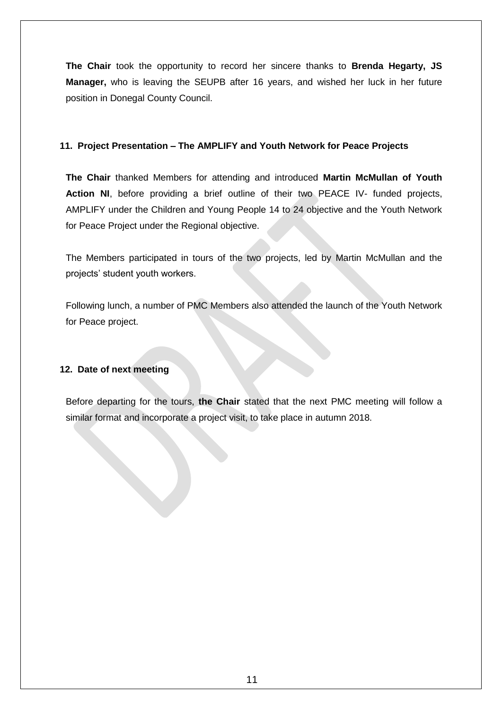**The Chair** took the opportunity to record her sincere thanks to **Brenda Hegarty, JS Manager,** who is leaving the SEUPB after 16 years, and wished her luck in her future position in Donegal County Council.

#### **11. Project Presentation – The AMPLIFY and Youth Network for Peace Projects**

**The Chair** thanked Members for attending and introduced **Martin McMullan of Youth Action NI**, before providing a brief outline of their two PEACE IV- funded projects, AMPLIFY under the Children and Young People 14 to 24 objective and the Youth Network for Peace Project under the Regional objective.

The Members participated in tours of the two projects, led by Martin McMullan and the projects' student youth workers.

Following lunch, a number of PMC Members also attended the launch of the Youth Network for Peace project.

#### **12. Date of next meeting**

Before departing for the tours, **the Chair** stated that the next PMC meeting will follow a similar format and incorporate a project visit, to take place in autumn 2018.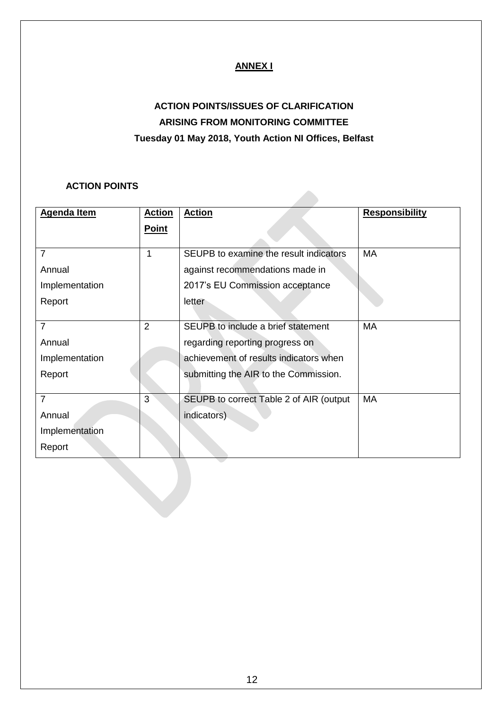## **ANNEX I**

# **ACTION POINTS/ISSUES OF CLARIFICATION ARISING FROM MONITORING COMMITTEE Tuesday 01 May 2018, Youth Action NI Offices, Belfast**

## **ACTION POINTS**

| <b>Agenda Item</b> | <b>Action</b> | <b>Action</b>                            | <b>Responsibility</b> |
|--------------------|---------------|------------------------------------------|-----------------------|
|                    | <b>Point</b>  |                                          |                       |
|                    |               |                                          |                       |
| $\overline{7}$     | 1             | SEUPB to examine the result indicators   | <b>MA</b>             |
| Annual             |               | against recommendations made in          |                       |
| Implementation     |               | 2017's EU Commission acceptance          |                       |
| Report             |               | letter                                   |                       |
|                    |               |                                          |                       |
| $\overline{7}$     | 2             | SEUPB to include a brief statement       | МA                    |
| Annual             |               | regarding reporting progress on          |                       |
| Implementation     |               | achievement of results indicators when   |                       |
| Report             |               | submitting the AIR to the Commission.    |                       |
|                    |               |                                          |                       |
| $\overline{7}$     | 3             | SEUPB to correct Table 2 of AIR (output) | MA                    |
| Annual             |               | indicators)                              |                       |
| Implementation     |               |                                          |                       |
| Report             |               |                                          |                       |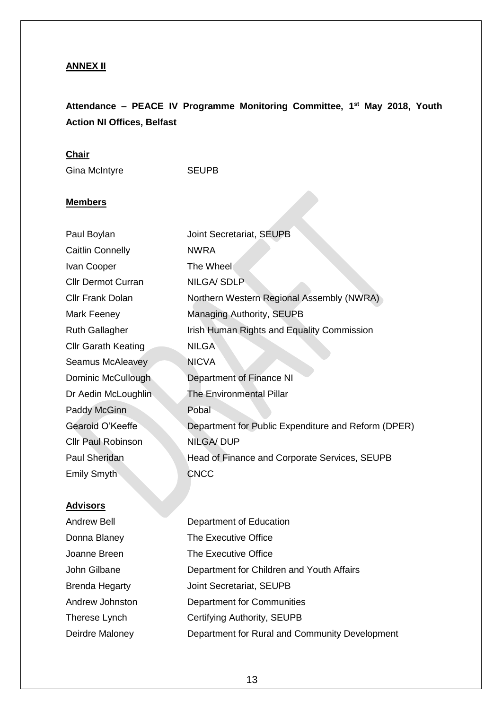## **ANNEX II**

## **Attendance – PEACE IV Programme Monitoring Committee, 1 st May 2018, Youth Action NI Offices, Belfast**

## **Chair**

Gina McIntyre **SEUPB** 

## **Members**

| Paul Boylan                | Joint Secretariat, SEUPB                            |
|----------------------------|-----------------------------------------------------|
| <b>Caitlin Connelly</b>    | <b>NWRA</b>                                         |
| Ivan Cooper                | The Wheel                                           |
| <b>Cllr Dermot Curran</b>  | NILGA/SDLP                                          |
| <b>Cllr Frank Dolan</b>    | Northern Western Regional Assembly (NWRA)           |
| Mark Feeney                | <b>Managing Authority, SEUPB</b>                    |
| <b>Ruth Gallagher</b>      | Irish Human Rights and Equality Commission          |
| <b>Cllr Garath Keating</b> | <b>NILGA</b>                                        |
| <b>Seamus McAleavey</b>    | <b>NICVA</b>                                        |
| Dominic McCullough         | Department of Finance NI                            |
| Dr Aedin McLoughlin        | <b>The Environmental Pillar</b>                     |
| Paddy McGinn               | Pobal                                               |
| Gearoid O'Keeffe           | Department for Public Expenditure and Reform (DPER) |
| <b>Cllr Paul Robinson</b>  | <b>NILGA/DUP</b>                                    |
| Paul Sheridan              | Head of Finance and Corporate Services, SEUPB       |
| <b>Emily Smyth</b>         | <b>CNCC</b>                                         |

## **Advisors**

| Andrew Bell     | Department of Education                        |
|-----------------|------------------------------------------------|
| Donna Blaney    | The Executive Office                           |
| Joanne Breen    | The Executive Office                           |
| John Gilbane    | Department for Children and Youth Affairs      |
| Brenda Hegarty  | Joint Secretariat, SEUPB                       |
| Andrew Johnston | Department for Communities                     |
| Therese Lynch   | Certifying Authority, SEUPB                    |
| Deirdre Maloney | Department for Rural and Community Development |
|                 |                                                |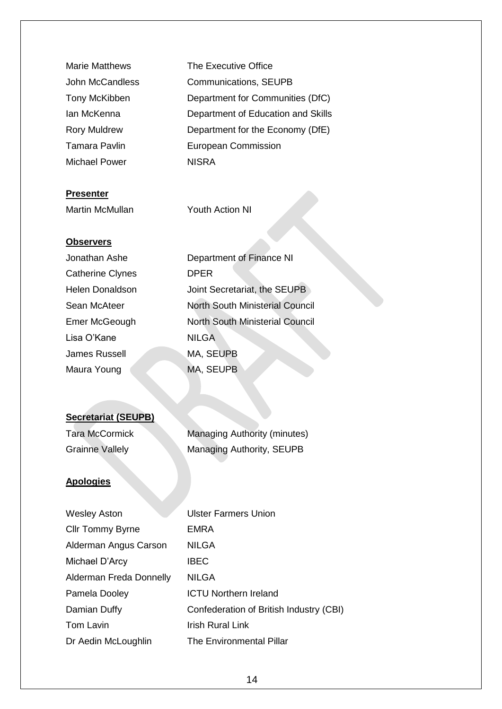| <b>Marie Matthews</b> | The Executive Office               |
|-----------------------|------------------------------------|
| John McCandless       | <b>Communications, SEUPB</b>       |
| Tony McKibben         | Department for Communities (DfC)   |
| Ian McKenna           | Department of Education and Skills |
| <b>Rory Muldrew</b>   | Department for the Economy (DfE)   |
| <b>Tamara Pavlin</b>  | <b>European Commission</b>         |
| Michael Power         | <b>NISRA</b>                       |
|                       |                                    |

#### **Presenter**

Martin McMullan Youth Action NI

#### **Observers**

| Jonathan Ashe    | Department of Finance NI               |
|------------------|----------------------------------------|
| Catherine Clynes | <b>DPER</b>                            |
| Helen Donaldson  | Joint Secretariat, the SEUPB           |
| Sean McAteer     | <b>North South Ministerial Council</b> |
| Emer McGeough    | <b>North South Ministerial Council</b> |
| Lisa O'Kane      | <b>NILGA</b>                           |
| James Russell    | MA, SEUPB                              |
| Maura Young      | MA, SEUPB                              |
|                  |                                        |

## **Secretariat (SEUPB)**

Tara McCormick Managing Authority (minutes) Grainne Vallely Managing Authority, SEUPB

#### **Apologies**

| <b>Wesley Aston</b>     | <b>Ulster Farmers Union</b>             |
|-------------------------|-----------------------------------------|
| <b>Cllr Tommy Byrne</b> | <b>EMRA</b>                             |
| Alderman Angus Carson   | <b>NILGA</b>                            |
| Michael D'Arcy          | <b>IBEC</b>                             |
| Alderman Freda Donnelly | <b>NILGA</b>                            |
| Pamela Dooley           | <b>ICTU Northern Ireland</b>            |
| Damian Duffy            | Confederation of British Industry (CBI) |
| Tom Lavin               | <b>Irish Rural Link</b>                 |
| Dr Aedin McLoughlin     | <b>The Environmental Pillar</b>         |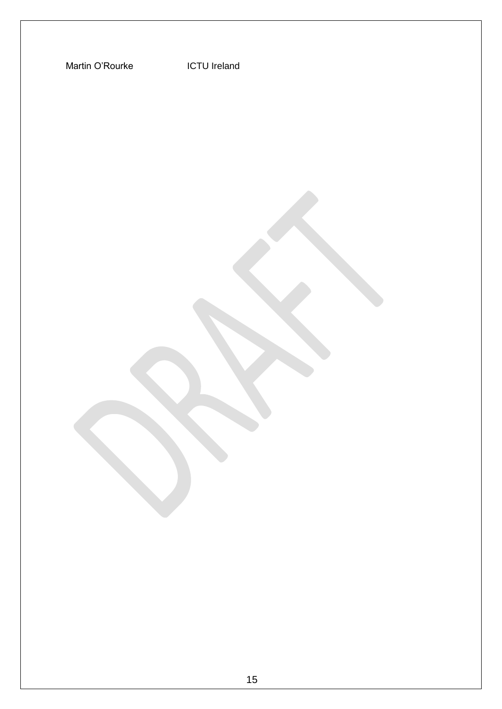Martin O'Rourke **ICTU** Ireland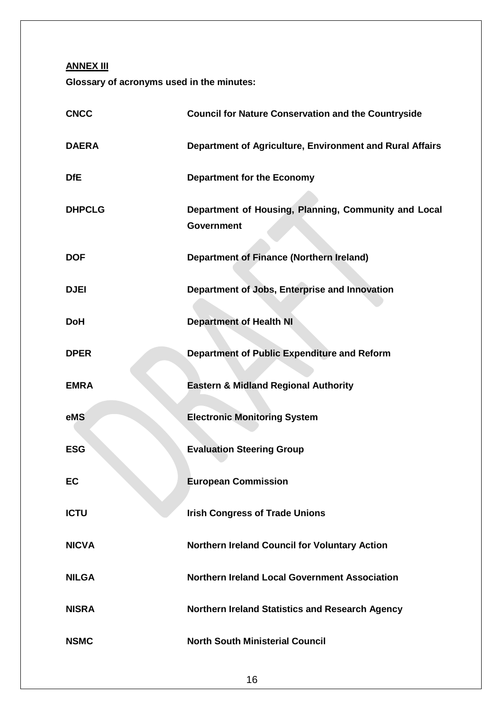**ANNEX III**

**Glossary of acronyms used in the minutes:**

| <b>CNCC</b>   | <b>Council for Nature Conservation and the Countryside</b>                |
|---------------|---------------------------------------------------------------------------|
| <b>DAERA</b>  | Department of Agriculture, Environment and Rural Affairs                  |
| <b>DfE</b>    | <b>Department for the Economy</b>                                         |
| <b>DHPCLG</b> | Department of Housing, Planning, Community and Local<br><b>Government</b> |
| <b>DOF</b>    | <b>Department of Finance (Northern Ireland)</b>                           |
| <b>DJEI</b>   | Department of Jobs, Enterprise and Innovation                             |
| <b>DoH</b>    | <b>Department of Health NI</b>                                            |
| <b>DPER</b>   | <b>Department of Public Expenditure and Reform</b>                        |
| <b>EMRA</b>   | <b>Eastern &amp; Midland Regional Authority</b>                           |
| eMS           | <b>Electronic Monitoring System</b>                                       |
| <b>ESG</b>    | <b>Evaluation Steering Group</b>                                          |
| EC            | <b>European Commission</b>                                                |
| <b>ICTU</b>   | <b>Irish Congress of Trade Unions</b>                                     |
| <b>NICVA</b>  | Northern Ireland Council for Voluntary Action                             |
| <b>NILGA</b>  | <b>Northern Ireland Local Government Association</b>                      |
| <b>NISRA</b>  | <b>Northern Ireland Statistics and Research Agency</b>                    |
| <b>NSMC</b>   | <b>North South Ministerial Council</b>                                    |